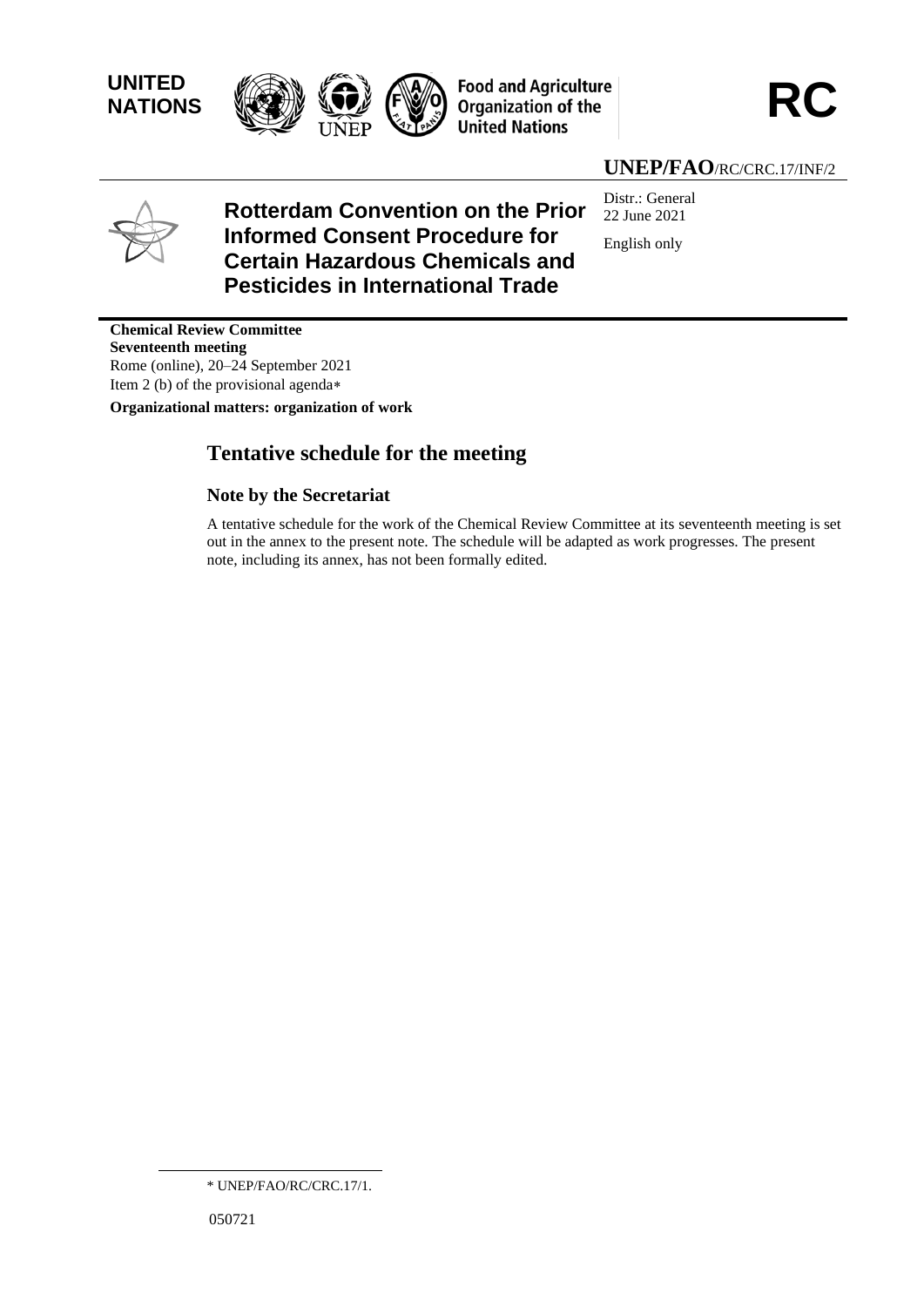**UNITED** 





### **UNEP/FAO**/RC/CRC.17/INF/2



#### **Rotterdam Convention on the Prior Informed Consent Procedure for Certain Hazardous Chemicals and Pesticides in International Trade** Distr.: General 22 June 2021 English only

**Chemical Review Committee Seventeenth meeting** Rome (online), 20–24 September 2021 Item 2 (b) of the provisional agenda

**Organizational matters: organization of work**

# **Tentative schedule for the meeting**

### **Note by the Secretariat**

A tentative schedule for the work of the Chemical Review Committee at its seventeenth meeting is set out in the annex to the present note. The schedule will be adapted as work progresses. The present note, including its annex, has not been formally edited.

<sup>\*</sup> UNEP/FAO/RC/CRC.17/1.